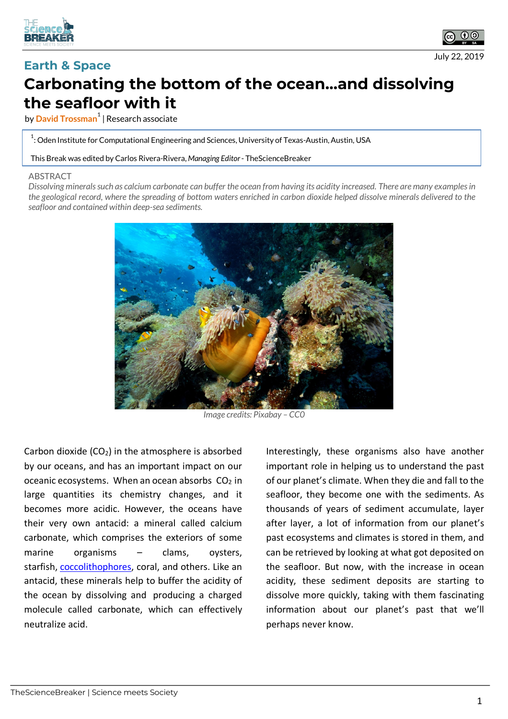



## **Earth & Space**

July 22, 2019

# **Carbonating the bottom of the ocean...and dissolving the seafloor with it**

## by **David Trossman<sup>1</sup>** | Research associate

 $^{\rm 1}$ : Oden Institute for Computational Engineering and Sciences, University of Texas-Austin, Austin, USA

### This Break was edited by Carlos Rivera-Rivera, *Managing Editor*- TheScienceBreaker

### **ARSTRACT**

*Dissolving minerals such as calcium carbonate can buffer the ocean from having its acidity increased. There are many examplesin the geological record, where the spreading of bottom waters enriched in carbon dioxide helped dissolve minerals delivered to the seafloor and contained within deep-sea sediments.*



*Image credits: Pixabay – CC0*

Carbon dioxide  $(CO<sub>2</sub>)$  in the atmosphere is absorbed by our oceans, and has an important impact on our oceanic ecosystems. When an ocean absorbs  $CO<sub>2</sub>$  in large quantities its chemistry changes, and it becomes more acidic. However, the oceans have their very own antacid: a mineral called calcium carbonate, which comprises the exteriors of some marine organisms – clams, oysters, starfish, coccolithophores, coral, and others. Like an antacid, these minerals help to buffer the acidity of the ocean by dissolving and producing a charged molecule called carbonate, which can effectively neutralize acid.

Interestingly, these organisms also have another important role in helping us to understand the past of our planet's climate. When they die and fall to the seafloor, they become one with the sediments. As thousands of years of sediment accumulate, layer after layer, a lot of information from our planet's past ecosystems and climates is stored in them, and can be retrieved by looking at what got deposited on the seafloor. But now, with the increase in ocean acidity, these sediment deposits are starting to dissolve more quickly, taking with them fascinating information about our planet's past that we'll perhaps never know.